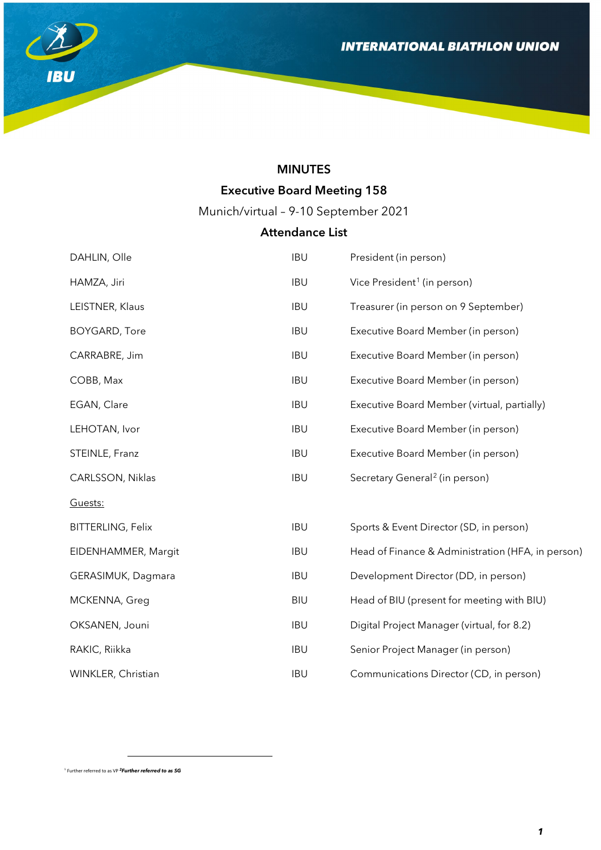

# MINUTES

# Executive Board Meeting 158

Munich/virtual – 9-10 September 2021

# Attendance List

| DAHLIN, Olle             | <b>IBU</b> | President (in person)                             |
|--------------------------|------------|---------------------------------------------------|
| HAMZA, Jiri              | <b>IBU</b> | Vice President <sup>1</sup> (in person)           |
| LEISTNER, Klaus          | <b>IBU</b> | Treasurer (in person on 9 September)              |
| <b>BOYGARD, Tore</b>     | <b>IBU</b> | Executive Board Member (in person)                |
| CARRABRE, Jim            | <b>IBU</b> | Executive Board Member (in person)                |
| COBB, Max                | <b>IBU</b> | Executive Board Member (in person)                |
| EGAN, Clare              | <b>IBU</b> | Executive Board Member (virtual, partially)       |
| LEHOTAN, Ivor            | <b>IBU</b> | Executive Board Member (in person)                |
| STEINLE, Franz           | <b>IBU</b> | Executive Board Member (in person)                |
| CARLSSON, Niklas         | <b>IBU</b> | Secretary General <sup>2</sup> (in person)        |
| Guests:                  |            |                                                   |
| <b>BITTERLING, Felix</b> | <b>IBU</b> | Sports & Event Director (SD, in person)           |
| EIDENHAMMER, Margit      | <b>IBU</b> | Head of Finance & Administration (HFA, in person) |
| GERASIMUK, Dagmara       | <b>IBU</b> | Development Director (DD, in person)              |
| MCKENNA, Greg            | <b>BIU</b> | Head of BIU (present for meeting with BIU)        |
| OKSANEN, Jouni           | <b>IBU</b> | Digital Project Manager (virtual, for 8.2)        |
| RAKIC, Riikka            | <b>IBU</b> | Senior Project Manager (in person)                |
| WINKLER, Christian       | <b>IBU</b> | Communications Director (CD, in person)           |

<span id="page-0-1"></span><span id="page-0-0"></span><sup>1</sup> Further referred to as VP *2Further referred to as SG* 

 $\overline{a}$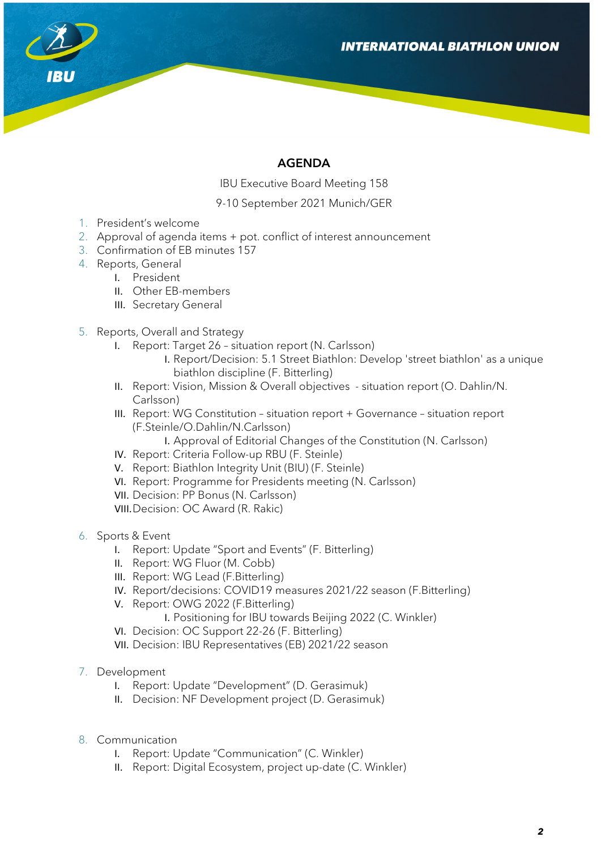

# AGENDA

IBU Executive Board Meeting 158

9-10 September 2021 Munich/GER

- 1. President's welcome
- 2. Approval of agenda items + pot. conflict of interest announcement
- 3. Confirmation of EB minutes 157
- 4. Reports, General
	- I. President
	- II. Other EB-members
	- III. Secretary General
- 5. Reports, Overall and Strategy
	- I. Report: Target 26 situation report (N. Carlsson)
		- I. Report/Decision: 5.1 Street Biathlon: Develop 'street biathlon' as a unique biathlon discipline (F. Bitterling)
	- II. Report: Vision, Mission & Overall objectives situation report (O. Dahlin/N. Carlsson)
	- III. Report: WG Constitution situation report + Governance situation report (F.Steinle/O.Dahlin/N.Carlsson)

I. Approval of Editorial Changes of the Constitution (N. Carlsson)

- IV. Report: Criteria Follow-up RBU (F. Steinle)
- V. Report: Biathlon Integrity Unit (BIU) (F. Steinle)
- VI. Report: Programme for Presidents meeting (N. Carlsson)
- VII. Decision: PP Bonus (N. Carlsson)
- VIII.Decision: OC Award (R. Rakic)
- 6. Sports & Event
	- I. Report: Update "Sport and Events" (F. Bitterling)
	- II. Report: WG Fluor (M. Cobb)
	- III. Report: WG Lead (F.Bitterling)
	- IV. Report/decisions: COVID19 measures 2021/22 season (F.Bitterling)
	- V. Report: OWG 2022 (F.Bitterling)
		- I. Positioning for IBU towards Beijing 2022 (C. Winkler)
	- VI. Decision: OC Support 22-26 (F. Bitterling)
	- VII. Decision: IBU Representatives (EB) 2021/22 season
- 7. Development
	- I. Report: Update "Development" (D. Gerasimuk)
	- II. Decision: NF Development project (D. Gerasimuk)
- 8. Communication
	- I. Report: Update "Communication" (C. Winkler)
	- II. Report: Digital Ecosystem, project up-date (C. Winkler)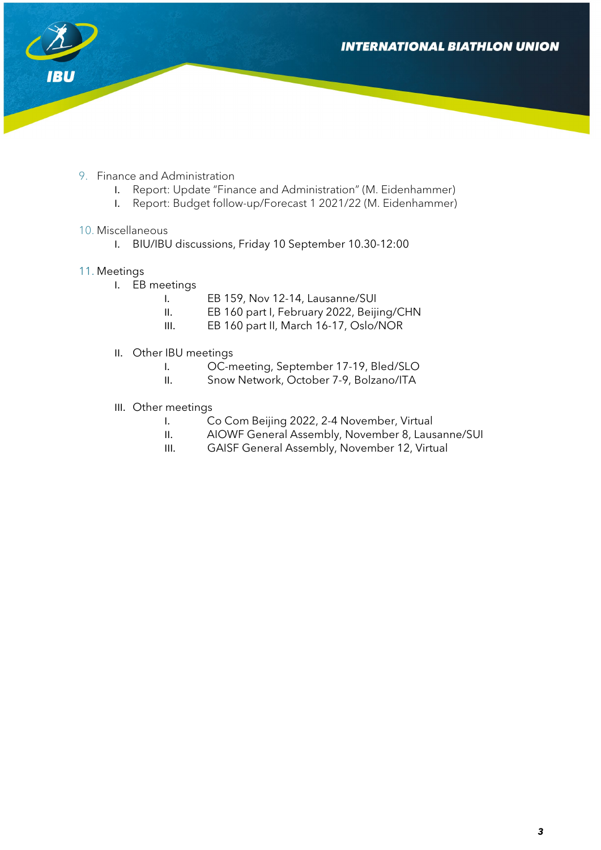**INTERNATIONAL BIATHLON UNION** 



- 9. Finance and Administration
	- I. Report: Update "Finance and Administration" (M. Eidenhammer)
	- I. Report: Budget follow-up/Forecast 1 2021/22 (M. Eidenhammer)
- 10. Miscellaneous
	- I. BIU/IBU discussions, Friday 10 September 10.30-12:00

## 11. Meetings

- I. EB meetings
	- I. EB 159, Nov 12-14, Lausanne/SUI
	- II. EB 160 part I, February 2022, Beijing/CHN
	- III. EB 160 part II, March 16-17, Oslo/NOR
- II. Other IBU meetings
	- I. OC-meeting, September 17-19, Bled/SLO
	- II. Snow Network, October 7-9, Bolzano/ITA
- III. Other meetings
	- I. Co Com Beijing 2022, 2-4 November, Virtual
	- II. AIOWF General Assembly, November 8, Lausanne/SUI
	- III. GAISF General Assembly, November 12, Virtual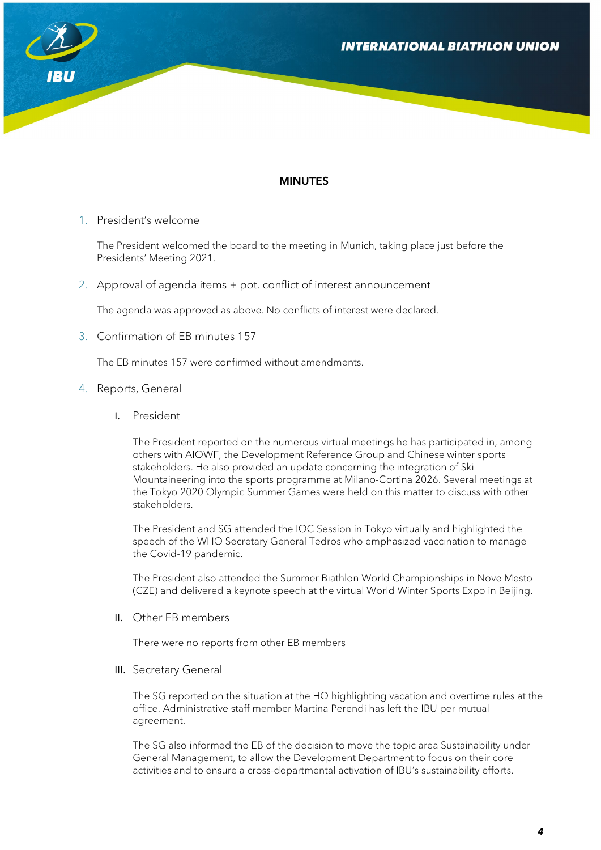

## MINUTES

1. President's welcome

The President welcomed the board to the meeting in Munich, taking place just before the Presidents' Meeting 2021.

2. Approval of agenda items + pot. conflict of interest announcement

The agenda was approved as above. No conflicts of interest were declared.

3. Confirmation of EB minutes 157

The EB minutes 157 were confirmed without amendments.

#### 4. Reports, General

I. President

The President reported on the numerous virtual meetings he has participated in, among others with AIOWF, the Development Reference Group and Chinese winter sports stakeholders. He also provided an update concerning the integration of Ski Mountaineering into the sports programme at Milano-Cortina 2026. Several meetings at the Tokyo 2020 Olympic Summer Games were held on this matter to discuss with other stakeholders.

The President and SG attended the IOC Session in Tokyo virtually and highlighted the speech of the WHO Secretary General Tedros who emphasized vaccination to manage the Covid-19 pandemic.

The President also attended the Summer Biathlon World Championships in Nove Mesto (CZE) and delivered a keynote speech at the virtual World Winter Sports Expo in Beijing.

II. Other EB members

There were no reports from other EB members

III. Secretary General

The SG reported on the situation at the HQ highlighting vacation and overtime rules at the office. Administrative staff member Martina Perendi has left the IBU per mutual agreement.

The SG also informed the EB of the decision to move the topic area Sustainability under General Management, to allow the Development Department to focus on their core activities and to ensure a cross-departmental activation of IBU's sustainability efforts.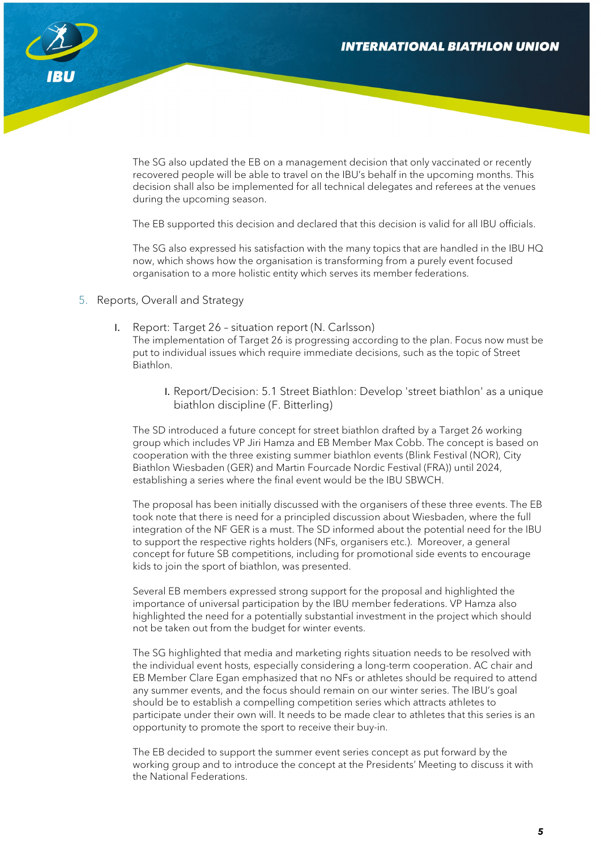

The SG also updated the EB on a management decision that only vaccinated or recently recovered people will be able to travel on the IBU's behalf in the upcoming months. This decision shall also be implemented for all technical delegates and referees at the venues during the upcoming season.

The EB supported this decision and declared that this decision is valid for all IBU officials.

The SG also expressed his satisfaction with the many topics that are handled in the IBU HQ now, which shows how the organisation is transforming from a purely event focused organisation to a more holistic entity which serves its member federations.

- 5. Reports, Overall and Strategy
	- I. Report: Target 26 situation report (N. Carlsson)

The implementation of Target 26 is progressing according to the plan. Focus now must be put to individual issues which require immediate decisions, such as the topic of Street Biathlon.

I. Report/Decision: 5.1 Street Biathlon: Develop 'street biathlon' as a unique biathlon discipline (F. Bitterling)

The SD introduced a future concept for street biathlon drafted by a Target 26 working group which includes VP Jiri Hamza and EB Member Max Cobb. The concept is based on cooperation with the three existing summer biathlon events (Blink Festival (NOR), City Biathlon Wiesbaden (GER) and Martin Fourcade Nordic Festival (FRA)) until 2024, establishing a series where the final event would be the IBU SBWCH.

The proposal has been initially discussed with the organisers of these three events. The EB took note that there is need for a principled discussion about Wiesbaden, where the full integration of the NF GER is a must. The SD informed about the potential need for the IBU to support the respective rights holders (NFs, organisers etc.). Moreover, a general concept for future SB competitions, including for promotional side events to encourage kids to join the sport of biathlon, was presented.

Several EB members expressed strong support for the proposal and highlighted the importance of universal participation by the IBU member federations. VP Hamza also highlighted the need for a potentially substantial investment in the project which should not be taken out from the budget for winter events.

The SG highlighted that media and marketing rights situation needs to be resolved with the individual event hosts, especially considering a long-term cooperation. AC chair and EB Member Clare Egan emphasized that no NFs or athletes should be required to attend any summer events, and the focus should remain on our winter series. The IBU's goal should be to establish a compelling competition series which attracts athletes to participate under their own will. It needs to be made clear to athletes that this series is an opportunity to promote the sport to receive their buy-in.

The EB decided to support the summer event series concept as put forward by the working group and to introduce the concept at the Presidents' Meeting to discuss it with the National Federations.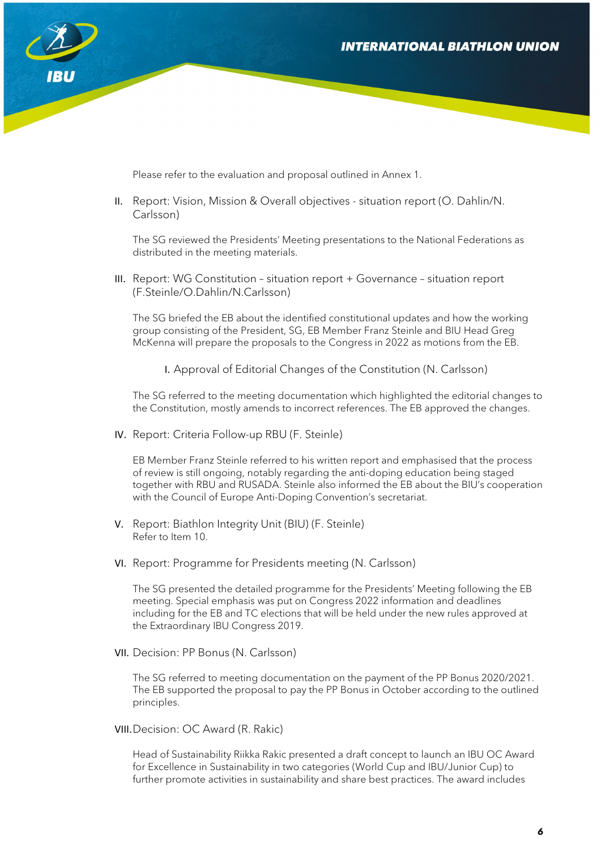

Please refer to the evaluation and proposal outlined in Annex 1.

II. Report: Vision, Mission & Overall objectives - situation report (O. Dahlin/N. Carlsson)

The SG reviewed the Presidents' Meeting presentations to the National Federations as distributed in the meeting materials.

III. Report: WG Constitution – situation report + Governance – situation report (F.Steinle/O.Dahlin/N.Carlsson)

The SG briefed the EB about the identified constitutional updates and how the working group consisting of the President, SG, EB Member Franz Steinle and BIU Head Greg McKenna will prepare the proposals to the Congress in 2022 as motions from the EB.

I. Approval of Editorial Changes of the Constitution (N. Carlsson)

The SG referred to the meeting documentation which highlighted the editorial changes to the Constitution, mostly amends to incorrect references. The EB approved the changes.

IV. Report: Criteria Follow-up RBU (F. Steinle)

EB Member Franz Steinle referred to his written report and emphasised that the process of review is still ongoing, notably regarding the anti-doping education being staged together with RBU and RUSADA. Steinle also informed the EB about the BIU's cooperation with the Council of Europe Anti-Doping Convention's secretariat.

- V. Report: Biathlon Integrity Unit (BIU) (F. Steinle) Refer to Item 10.
- VI. Report: Programme for Presidents meeting (N. Carlsson)

The SG presented the detailed programme for the Presidents' Meeting following the EB meeting. Special emphasis was put on Congress 2022 information and deadlines including for the EB and TC elections that will be held under the new rules approved at the Extraordinary IBU Congress 2019.

VII. Decision: PP Bonus (N. Carlsson)

The SG referred to meeting documentation on the payment of the PP Bonus 2020/2021. The EB supported the proposal to pay the PP Bonus in October according to the outlined principles.

VIII.Decision: OC Award (R. Rakic)

Head of Sustainability Riikka Rakic presented a draft concept to launch an IBU OC Award for Excellence in Sustainability in two categories (World Cup and IBU/Junior Cup) to further promote activities in sustainability and share best practices. The award includes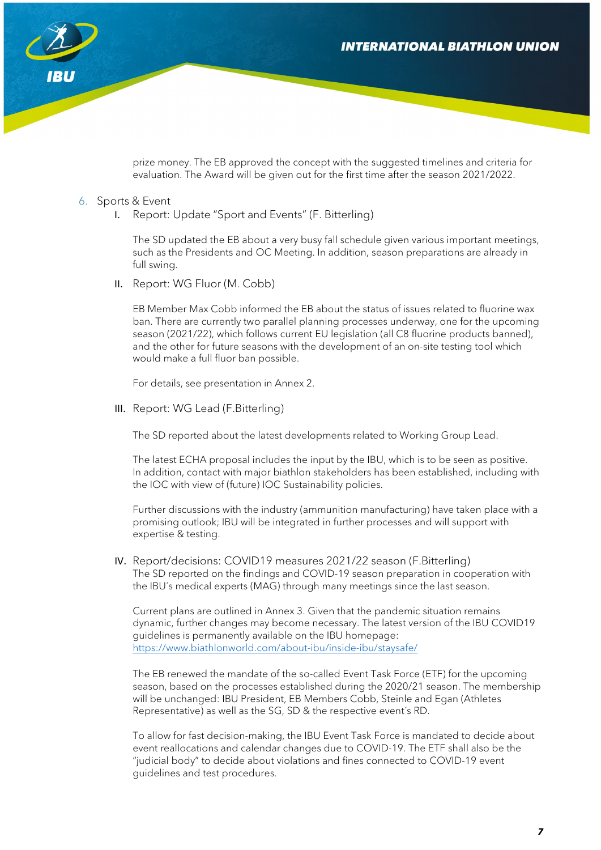## **INTERNATIONAL BIATHLON UNION**



prize money. The EB approved the concept with the suggested timelines and criteria for evaluation. The Award will be given out for the first time after the season 2021/2022.

#### 6. Sports & Event

I. Report: Update "Sport and Events" (F. Bitterling)

The SD updated the EB about a very busy fall schedule given various important meetings, such as the Presidents and OC Meeting. In addition, season preparations are already in full swing.

II. Report: WG Fluor (M. Cobb)

EB Member Max Cobb informed the EB about the status of issues related to fluorine wax ban. There are currently two parallel planning processes underway, one for the upcoming season (2021/22), which follows current EU legislation (all C8 fluorine products banned), and the other for future seasons with the development of an on-site testing tool which would make a full fluor ban possible.

For details, see presentation in Annex 2.

III. Report: WG Lead (F.Bitterling)

The SD reported about the latest developments related to Working Group Lead.

The latest ECHA proposal includes the input by the IBU, which is to be seen as positive. In addition, contact with major biathlon stakeholders has been established, including with the IOC with view of (future) IOC Sustainability policies.

Further discussions with the industry (ammunition manufacturing) have taken place with a promising outlook; IBU will be integrated in further processes and will support with expertise & testing.

IV. Report/decisions: COVID19 measures 2021/22 season (F.Bitterling) The SD reported on the findings and COVID-19 season preparation in cooperation with the IBU´s medical experts (MAG) through many meetings since the last season.

Current plans are outlined in Annex 3. Given that the pandemic situation remains dynamic, further changes may become necessary. The latest version of the IBU COVID19 guidelines is permanently available on the IBU homepage: <https://www.biathlonworld.com/about-ibu/inside-ibu/staysafe/>

The EB renewed the mandate of the so-called Event Task Force (ETF) for the upcoming season, based on the processes established during the 2020/21 season. The membership will be unchanged: IBU President, EB Members Cobb, Steinle and Egan (Athletes Representative) as well as the SG, SD & the respective event´s RD.

To allow for fast decision-making, the IBU Event Task Force is mandated to decide about event reallocations and calendar changes due to COVID-19. The ETF shall also be the "judicial body" to decide about violations and fines connected to COVID-19 event guidelines and test procedures.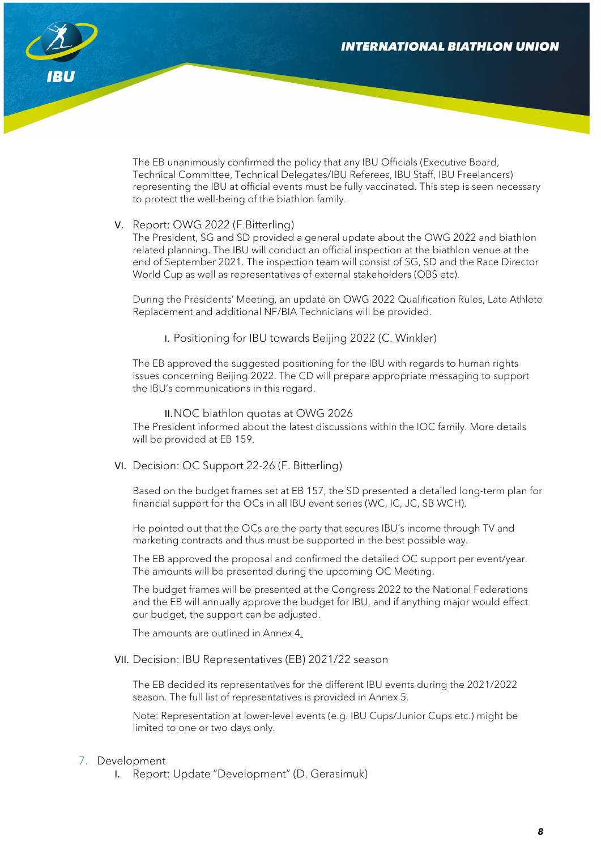

The EB unanimously confirmed the policy that any IBU Officials (Executive Board, Technical Committee, Technical Delegates/IBU Referees, IBU Staff, IBU Freelancers) representing the IBU at official events must be fully vaccinated. This step is seen necessary to protect the well-being of the biathlon family.

#### V. Report: OWG 2022 (F.Bitterling)

The President, SG and SD provided a general update about the OWG 2022 and biathlon related planning. The IBU will conduct an official inspection at the biathlon venue at the end of September 2021. The inspection team will consist of SG, SD and the Race Director World Cup as well as representatives of external stakeholders (OBS etc).

During the Presidents' Meeting, an update on OWG 2022 Qualification Rules, Late Athlete Replacement and additional NF/BIA Technicians will be provided.

I. Positioning for IBU towards Beijing 2022 (C. Winkler)

The EB approved the suggested positioning for the IBU with regards to human rights issues concerning Beijing 2022. The CD will prepare appropriate messaging to support the IBU's communications in this regard.

II.NOC biathlon quotas at OWG 2026 The President informed about the latest discussions within the IOC family. More details will be provided at EB 159.

VI. Decision: OC Support 22-26 (F. Bitterling)

Based on the budget frames set at EB 157, the SD presented a detailed long-term plan for financial support for the OCs in all IBU event series (WC, IC, JC, SB WCH).

He pointed out that the OCs are the party that secures IBU´s income through TV and marketing contracts and thus must be supported in the best possible way.

The EB approved the proposal and confirmed the detailed OC support per event/year. The amounts will be presented during the upcoming OC Meeting.

The budget frames will be presented at the Congress 2022 to the National Federations and the EB will annually approve the budget for IBU, and if anything major would effect our budget, the support can be adjusted.

The amounts are outlined in Annex 4.

VII. Decision: IBU Representatives (EB) 2021/22 season

The EB decided its representatives for the different IBU events during the 2021/2022 season. The full list of representatives is provided in Annex 5.

Note: Representation at lower-level events (e.g. IBU Cups/Junior Cups etc.) might be limited to one or two days only.

#### 7. Development

I. Report: Update "Development" (D. Gerasimuk)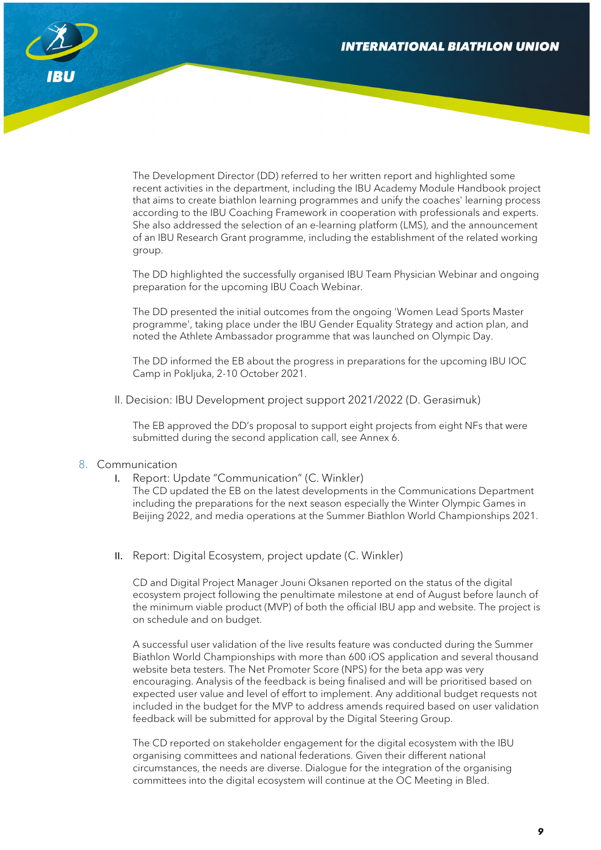

The Development Director (DD) referred to her written report and highlighted some recent activities in the department, including the IBU Academy Module Handbook project that aims to create biathlon learning programmes and unify the coaches' learning process according to the IBU Coaching Framework in cooperation with professionals and experts. She also addressed the selection of an e-learning platform (LMS), and the announcement of an IBU Research Grant programme, including the establishment of the related working group.

The DD highlighted the successfully organised IBU Team Physician Webinar and ongoing preparation for the upcoming IBU Coach Webinar.

The DD presented the initial outcomes from the ongoing 'Women Lead Sports Master programme', taking place under the IBU Gender Equality Strategy and action plan, and noted the Athlete Ambassador programme that was launched on Olympic Day.

The DD informed the EB about the progress in preparations for the upcoming IBU IOC Camp in Pokljuka, 2-10 October 2021.

II. Decision: IBU Development project support 2021/2022 (D. Gerasimuk)

The EB approved the DD's proposal to support eight projects from eight NFs that were submitted during the second application call, see Annex 6.

#### 8. Communication

I. Report: Update "Communication" (C. Winkler)

The CD updated the EB on the latest developments in the Communications Department including the preparations for the next season especially the Winter Olympic Games in Beijing 2022, and media operations at the Summer Biathlon World Championships 2021.

II. Report: Digital Ecosystem, project update (C. Winkler)

CD and Digital Project Manager Jouni Oksanen reported on the status of the digital ecosystem project following the penultimate milestone at end of August before launch of the minimum viable product (MVP) of both the official IBU app and website. The project is on schedule and on budget.

A successful user validation of the live results feature was conducted during the Summer Biathlon World Championships with more than 600 iOS application and several thousand website beta testers. The Net Promoter Score (NPS) for the beta app was very encouraging. Analysis of the feedback is being finalised and will be prioritised based on expected user value and level of effort to implement. Any additional budget requests not included in the budget for the MVP to address amends required based on user validation feedback will be submitted for approval by the Digital Steering Group.

The CD reported on stakeholder engagement for the digital ecosystem with the IBU organising committees and national federations. Given their different national circumstances, the needs are diverse. Dialogue for the integration of the organising committees into the digital ecosystem will continue at the OC Meeting in Bled.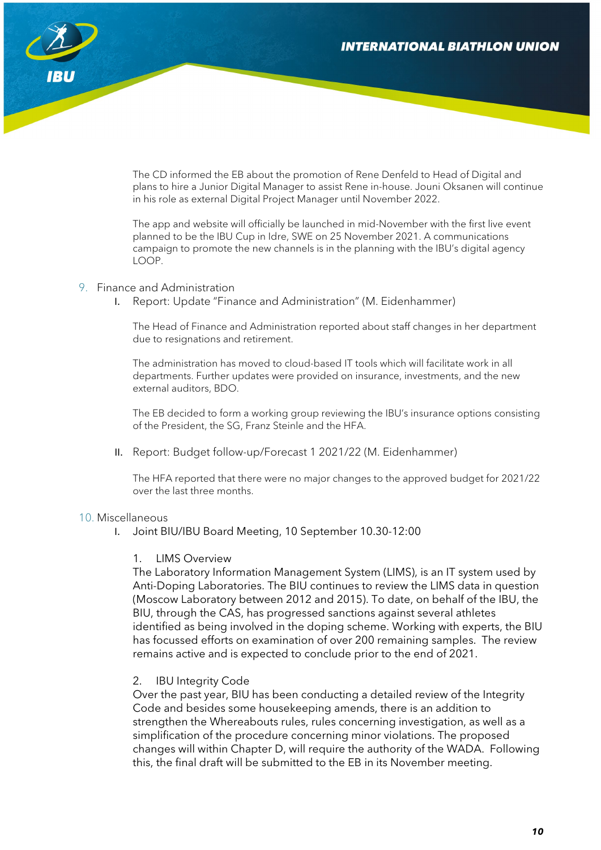

The CD informed the EB about the promotion of Rene Denfeld to Head of Digital and plans to hire a Junior Digital Manager to assist Rene in-house. Jouni Oksanen will continue in his role as external Digital Project Manager until November 2022.

The app and website will officially be launched in mid-November with the first live event planned to be the IBU Cup in Idre, SWE on 25 November 2021. A communications campaign to promote the new channels is in the planning with the IBU's digital agency LOOP.

#### 9. Finance and Administration

I. Report: Update "Finance and Administration" (M. Eidenhammer)

The Head of Finance and Administration reported about staff changes in her department due to resignations and retirement.

The administration has moved to cloud-based IT tools which will facilitate work in all departments. Further updates were provided on insurance, investments, and the new external auditors, BDO.

The EB decided to form a working group reviewing the IBU's insurance options consisting of the President, the SG, Franz Steinle and the HFA.

II. Report: Budget follow-up/Forecast 1 2021/22 (M. Eidenhammer)

The HFA reported that there were no major changes to the approved budget for 2021/22 over the last three months.

#### 10. Miscellaneous

I. Joint BIU/IBU Board Meeting, 10 September 10.30-12:00

#### 1. LIMS Overview

The Laboratory Information Management System (LIMS), is an IT system used by Anti-Doping Laboratories. The BIU continues to review the LIMS data in question (Moscow Laboratory between 2012 and 2015). To date, on behalf of the IBU, the BIU, through the CAS, has progressed sanctions against several athletes identified as being involved in the doping scheme. Working with experts, the BIU has focussed efforts on examination of over 200 remaining samples. The review remains active and is expected to conclude prior to the end of 2021.

#### 2. IBU Integrity Code

Over the past year, BIU has been conducting a detailed review of the Integrity Code and besides some housekeeping amends, there is an addition to strengthen the Whereabouts rules, rules concerning investigation, as well as a simplification of the procedure concerning minor violations. The proposed changes will within Chapter D, will require the authority of the WADA. Following this, the final draft will be submitted to the EB in its November meeting.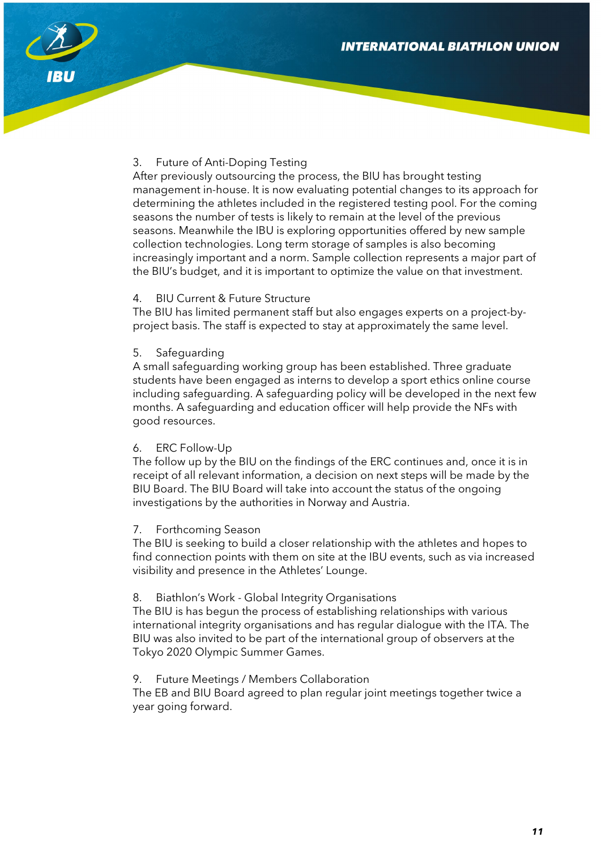

## 3. Future of Anti-Doping Testing

After previously outsourcing the process, the BIU has brought testing management in-house. It is now evaluating potential changes to its approach for determining the athletes included in the registered testing pool. For the coming seasons the number of tests is likely to remain at the level of the previous seasons. Meanwhile the IBU is exploring opportunities offered by new sample collection technologies. Long term storage of samples is also becoming increasingly important and a norm. Sample collection represents a major part of the BIU's budget, and it is important to optimize the value on that investment.

## 4. BIU Current & Future Structure

The BIU has limited permanent staff but also engages experts on a project-byproject basis. The staff is expected to stay at approximately the same level.

## 5. Safeguarding

A small safeguarding working group has been established. Three graduate students have been engaged as interns to develop a sport ethics online course including safeguarding. A safeguarding policy will be developed in the next few months. A safeguarding and education officer will help provide the NFs with good resources.

#### 6. ERC Follow-Up

The follow up by the BIU on the findings of the ERC continues and, once it is in receipt of all relevant information, a decision on next steps will be made by the BIU Board. The BIU Board will take into account the status of the ongoing investigations by the authorities in Norway and Austria.

#### 7. Forthcoming Season

The BIU is seeking to build a closer relationship with the athletes and hopes to find connection points with them on site at the IBU events, such as via increased visibility and presence in the Athletes' Lounge.

#### 8. Biathlon's Work - Global Integrity Organisations

The BIU is has begun the process of establishing relationships with various international integrity organisations and has regular dialogue with the ITA. The BIU was also invited to be part of the international group of observers at the Tokyo 2020 Olympic Summer Games.

## 9. Future Meetings / Members Collaboration

The EB and BIU Board agreed to plan regular joint meetings together twice a year going forward.